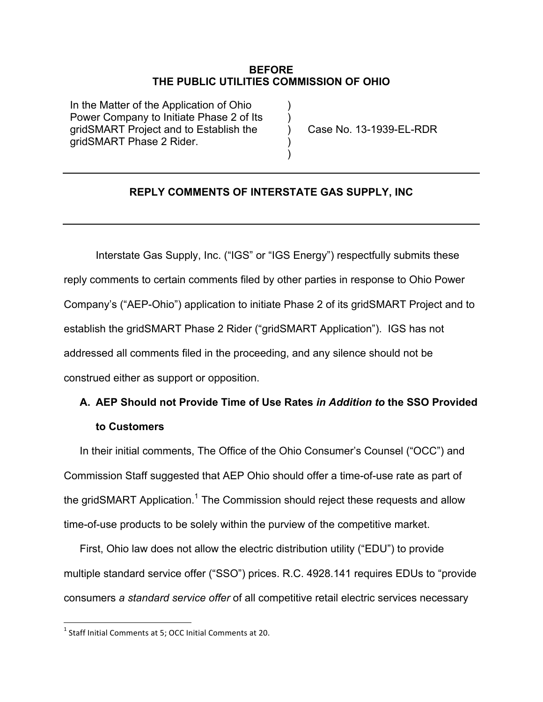#### **BEFORE THE PUBLIC UTILITIES COMMISSION OF OHIO**

) ) ) ) )

In the Matter of the Application of Ohio Power Company to Initiate Phase 2 of Its gridSMART Project and to Establish the gridSMART Phase 2 Rider.

Case No. 13-1939-EL-RDR

#### **REPLY COMMENTS OF INTERSTATE GAS SUPPLY, INC**

Interstate Gas Supply, Inc. ("IGS" or "IGS Energy") respectfully submits these reply comments to certain comments filed by other parties in response to Ohio Power Company's ("AEP-Ohio") application to initiate Phase 2 of its gridSMART Project and to establish the gridSMART Phase 2 Rider ("gridSMART Application"). IGS has not addressed all comments filed in the proceeding, and any silence should not be construed either as support or opposition.

## **A. AEP Should not Provide Time of Use Rates** *in Addition to* **the SSO Provided to Customers**

In their initial comments, The Office of the Ohio Consumer's Counsel ("OCC") and Commission Staff suggested that AEP Ohio should offer a time-of-use rate as part of the gridSMART Application.<sup>1</sup> The Commission should reject these requests and allow time-of-use products to be solely within the purview of the competitive market.

First, Ohio law does not allow the electric distribution utility ("EDU") to provide multiple standard service offer ("SSO") prices. R.C. 4928.141 requires EDUs to "provide consumers *a standard service offer* of all competitive retail electric services necessary

<u> 1989 - Johann Stein, markin film yn y breninn y breninn y breninn y breninn y breninn y breninn y breninn y b</u>

 $1$  Staff Initial Comments at 5; OCC Initial Comments at 20.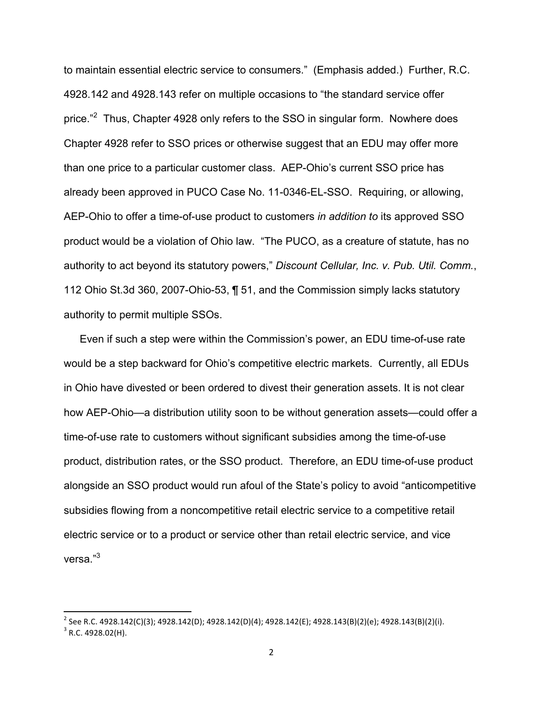to maintain essential electric service to consumers." (Emphasis added.) Further, R.C. 4928.142 and 4928.143 refer on multiple occasions to "the standard service offer price."<sup>2</sup> Thus, Chapter 4928 only refers to the SSO in singular form. Nowhere does Chapter 4928 refer to SSO prices or otherwise suggest that an EDU may offer more than one price to a particular customer class. AEP-Ohio's current SSO price has already been approved in PUCO Case No. 11-0346-EL-SSO. Requiring, or allowing, AEP-Ohio to offer a time-of-use product to customers *in addition to* its approved SSO product would be a violation of Ohio law. "The PUCO, as a creature of statute, has no authority to act beyond its statutory powers," *Discount Cellular, Inc. v. Pub. Util. Comm.*, 112 Ohio St.3d 360, 2007-Ohio-53, ¶ 51, and the Commission simply lacks statutory authority to permit multiple SSOs.

Even if such a step were within the Commission's power, an EDU time-of-use rate would be a step backward for Ohio's competitive electric markets. Currently, all EDUs in Ohio have divested or been ordered to divest their generation assets. It is not clear how AEP-Ohio—a distribution utility soon to be without generation assets—could offer a time-of-use rate to customers without significant subsidies among the time-of-use product, distribution rates, or the SSO product. Therefore, an EDU time-of-use product alongside an SSO product would run afoul of the State's policy to avoid "anticompetitive subsidies flowing from a noncompetitive retail electric service to a competitive retail electric service or to a product or service other than retail electric service, and vice versa."<sup>3</sup>

<u> 1989 - Johann Stein, markin film yn y breninn y breninn y breninn y breninn y breninn y breninn y breninn y b</u>

 $^2$  See R.C. 4928.142(C)(3); 4928.142(D); 4928.142(D)(4); 4928.142(E); 4928.143(B)(2)(e); 4928.143(B)(2)(i).  $3$  R.C. 4928.02(H).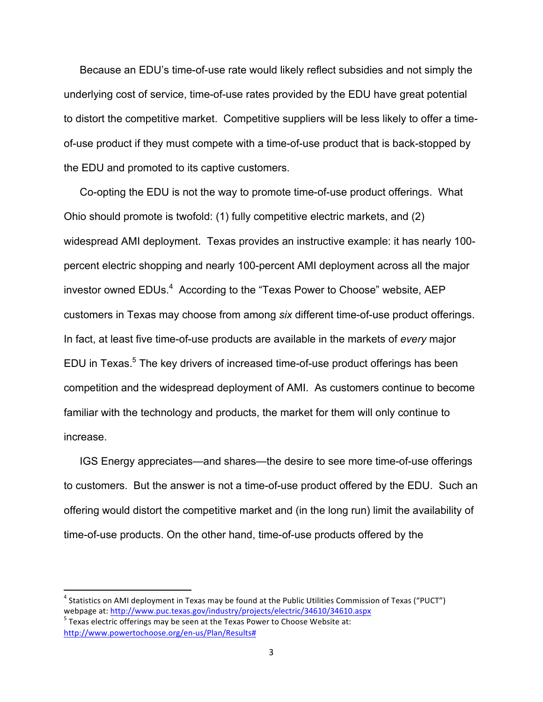Because an EDU's time-of-use rate would likely reflect subsidies and not simply the underlying cost of service, time-of-use rates provided by the EDU have great potential to distort the competitive market. Competitive suppliers will be less likely to offer a timeof-use product if they must compete with a time-of-use product that is back-stopped by the EDU and promoted to its captive customers.

Co-opting the EDU is not the way to promote time-of-use product offerings. What Ohio should promote is twofold: (1) fully competitive electric markets, and (2) widespread AMI deployment. Texas provides an instructive example: it has nearly 100 percent electric shopping and nearly 100-percent AMI deployment across all the major investor owned  $EDUs.<sup>4</sup>$  According to the "Texas Power to Choose" website, AEP customers in Texas may choose from among *six* different time-of-use product offerings. In fact, at least five time-of-use products are available in the markets of *every* major EDU in Texas.<sup>5</sup> The key drivers of increased time-of-use product offerings has been competition and the widespread deployment of AMI. As customers continue to become familiar with the technology and products, the market for them will only continue to increase.

IGS Energy appreciates—and shares—the desire to see more time-of-use offerings to customers. But the answer is not a time-of-use product offered by the EDU. Such an offering would distort the competitive market and (in the long run) limit the availability of time-of-use products. On the other hand, time-of-use products offered by the

<u> 1989 - Johann Stein, markin film yn y breninn y breninn y breninn y breninn y breninn y breninn y breninn y b</u>

 $^4$  Statistics on AMI deployment in Texas may be found at the Public Utilities Commission of Texas ("PUCT") webpage at: http://www.puc.texas.gov/industry/projects/electric/34610/34610.aspx 5<br>Texas electric offerings may be seen at the Texas Power to Choose Website at:

http://www.powertochoose.org/en-us/Plan/Results#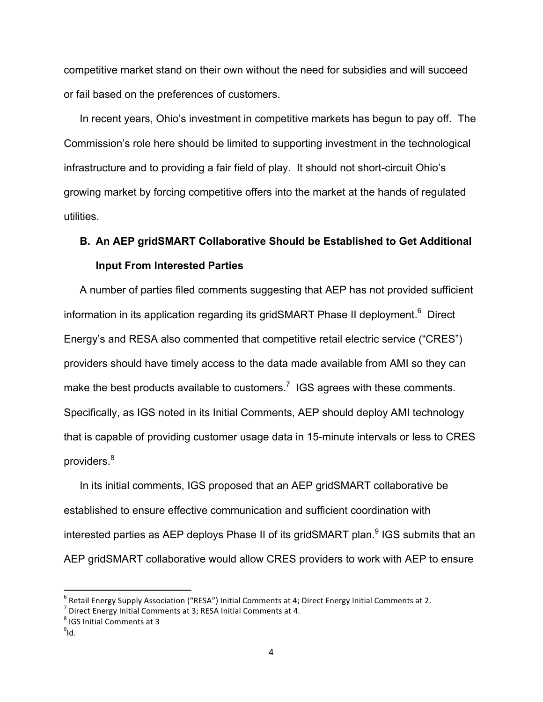competitive market stand on their own without the need for subsidies and will succeed or fail based on the preferences of customers.

In recent years, Ohio's investment in competitive markets has begun to pay off. The Commission's role here should be limited to supporting investment in the technological infrastructure and to providing a fair field of play. It should not short-circuit Ohio's growing market by forcing competitive offers into the market at the hands of regulated utilities.

# **B. An AEP gridSMART Collaborative Should be Established to Get Additional Input From Interested Parties**

A number of parties filed comments suggesting that AEP has not provided sufficient information in its application regarding its gridSMART Phase II deployment.<sup>6</sup> Direct Energy's and RESA also commented that competitive retail electric service ("CRES") providers should have timely access to the data made available from AMI so they can make the best products available to customers.<sup>7</sup> IGS agrees with these comments. Specifically, as IGS noted in its Initial Comments, AEP should deploy AMI technology that is capable of providing customer usage data in 15-minute intervals or less to CRES providers.<sup>8</sup>

In its initial comments, IGS proposed that an AEP gridSMART collaborative be established to ensure effective communication and sufficient coordination with interested parties as AEP deploys Phase II of its gridSMART plan.<sup>9</sup> IGS submits that an AEP gridSMART collaborative would allow CRES providers to work with AEP to ensure

 $<sup>8</sup>$  IGS Initial Comments at 3</sup>

<u> 1989 - Johann Stein, markin film yn y breninn y breninn y breninn y breninn y breninn y breninn y breninn y b</u>

 $^{9}$ ld.

<sup>&</sup>lt;sup>6</sup> Retail Energy Supply Association ("RESA") Initial Comments at 4; Direct Energy Initial Comments at 2.<br><sup>7</sup> Direct Energy Initial Comments at 3; RESA Initial Comments at 4.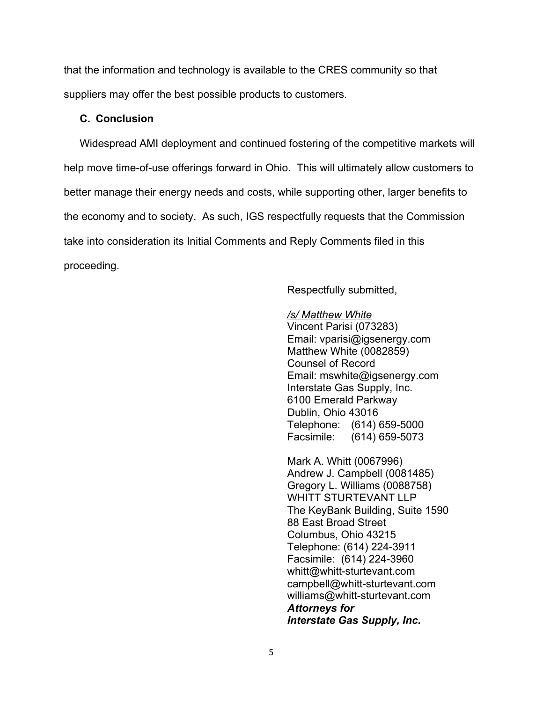that the information and technology is available to the CRES community so that suppliers may offer the best possible products to customers.

#### **C. Conclusion**

Widespread AMI deployment and continued fostering of the competitive markets will help move time-of-use offerings forward in Ohio. This will ultimately allow customers to better manage their energy needs and costs, while supporting other, larger benefits to the economy and to society. As such, IGS respectfully requests that the Commission take into consideration its Initial Comments and Reply Comments filed in this proceeding.

Respectfully submitted,

#### */s/ Matthew White*

Vincent Parisi (073283) Email: vparisi@igsenergy.com Matthew White (0082859) Counsel of Record Email: mswhite@igsenergy.com Interstate Gas Supply, Inc. 6100 Emerald Parkway Dublin, Ohio 43016 Telephone: (614) 659-5000 Facsimile: (614) 659-5073

Mark A. Whitt (0067996) Andrew J. Campbell (0081485) Gregory L. Williams (0088758) WHITT STURTEVANT LLP The KeyBank Building, Suite 1590 88 East Broad Street Columbus, Ohio 43215 Telephone: (614) 224-3911 Facsimile: (614) 224-3960 whitt@whitt-sturtevant.com campbell@whitt-sturtevant.com williams@whitt-sturtevant.com *Attorneys for Interstate Gas Supply, Inc.*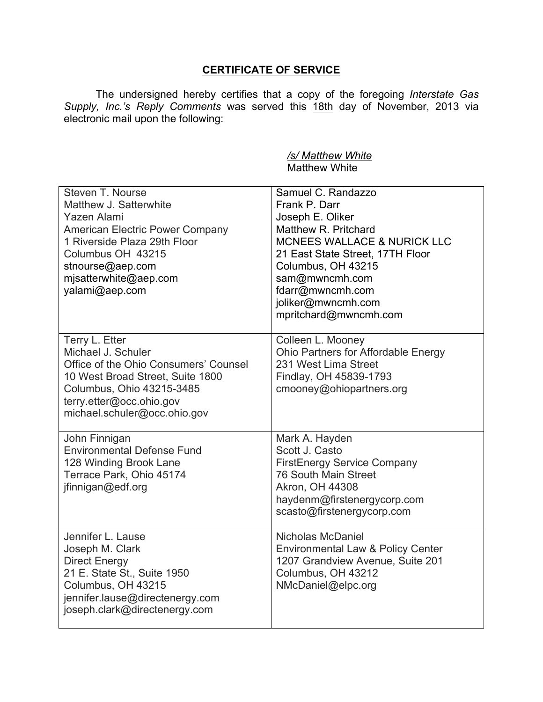## **CERTIFICATE OF SERVICE**

The undersigned hereby certifies that a copy of the foregoing *Interstate Gas Supply, Inc.'s Reply Comments* was served this 18th day of November, 2013 via electronic mail upon the following:

### */s/ Matthew White* Matthew White

| Steven T. Nourse<br>Matthew J. Satterwhite<br>Yazen Alami<br>American Electric Power Company<br>1 Riverside Plaza 29th Floor<br>Columbus OH 43215<br>stnourse@aep.com<br>mjsatterwhite@aep.com<br>yalami@aep.com | Samuel C. Randazzo<br>Frank P. Darr<br>Joseph E. Oliker<br>Matthew R. Pritchard<br><b>MCNEES WALLACE &amp; NURICK LLC</b><br>21 East State Street, 17TH Floor<br>Columbus, OH 43215<br>sam@mwncmh.com<br>fdarr@mwncmh.com<br>joliker@mwncmh.com<br>mpritchard@mwncmh.com |
|------------------------------------------------------------------------------------------------------------------------------------------------------------------------------------------------------------------|--------------------------------------------------------------------------------------------------------------------------------------------------------------------------------------------------------------------------------------------------------------------------|
| Terry L. Etter<br>Michael J. Schuler<br>Office of the Ohio Consumers' Counsel<br>10 West Broad Street, Suite 1800<br>Columbus, Ohio 43215-3485<br>terry.etter@occ.ohio.gov<br>michael.schuler@occ.ohio.gov       | Colleen L. Mooney<br>Ohio Partners for Affordable Energy<br>231 West Lima Street<br>Findlay, OH 45839-1793<br>cmooney@ohiopartners.org                                                                                                                                   |
| John Finnigan<br><b>Environmental Defense Fund</b><br>128 Winding Brook Lane<br>Terrace Park, Ohio 45174<br>jfinnigan@edf.org                                                                                    | Mark A. Hayden<br>Scott J. Casto<br><b>FirstEnergy Service Company</b><br>76 South Main Street<br>Akron, OH 44308<br>haydenm@firstenergycorp.com<br>scasto@firstenergycorp.com                                                                                           |
| Jennifer L. Lause<br>Joseph M. Clark<br><b>Direct Energy</b><br>21 E. State St., Suite 1950<br>Columbus, OH 43215<br>jennifer.lause@directenergy.com<br>joseph.clark@directenergy.com                            | Nicholas McDaniel<br>Environmental Law & Policy Center<br>1207 Grandview Avenue, Suite 201<br>Columbus, OH 43212<br>NMcDaniel@elpc.org                                                                                                                                   |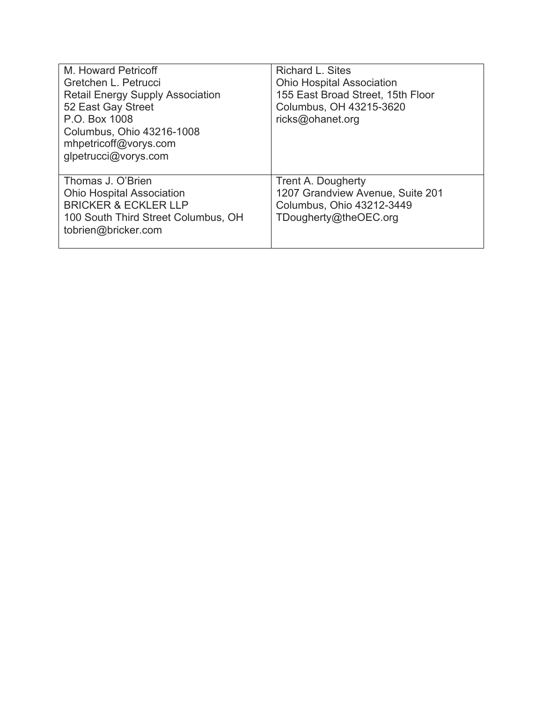| M. Howard Petricoff<br>Gretchen L. Petrucci<br><b>Retail Energy Supply Association</b><br>52 East Gay Street<br>P.O. Box 1008<br>Columbus, Ohio 43216-1008<br>mhpetricoff@vorys.com<br>glpetrucci@vorys.com | <b>Richard L. Sites</b><br><b>Ohio Hospital Association</b><br>155 East Broad Street, 15th Floor<br>Columbus, OH 43215-3620<br>ricks@ohanet.org |
|-------------------------------------------------------------------------------------------------------------------------------------------------------------------------------------------------------------|-------------------------------------------------------------------------------------------------------------------------------------------------|
| Thomas J. O'Brien<br><b>Ohio Hospital Association</b><br><b>BRICKER &amp; ECKLER LLP</b><br>100 South Third Street Columbus, OH<br>tobrien@bricker.com                                                      | Trent A. Dougherty<br>1207 Grandview Avenue, Suite 201<br>Columbus, Ohio 43212-3449<br>TDougherty@theOEC.org                                    |